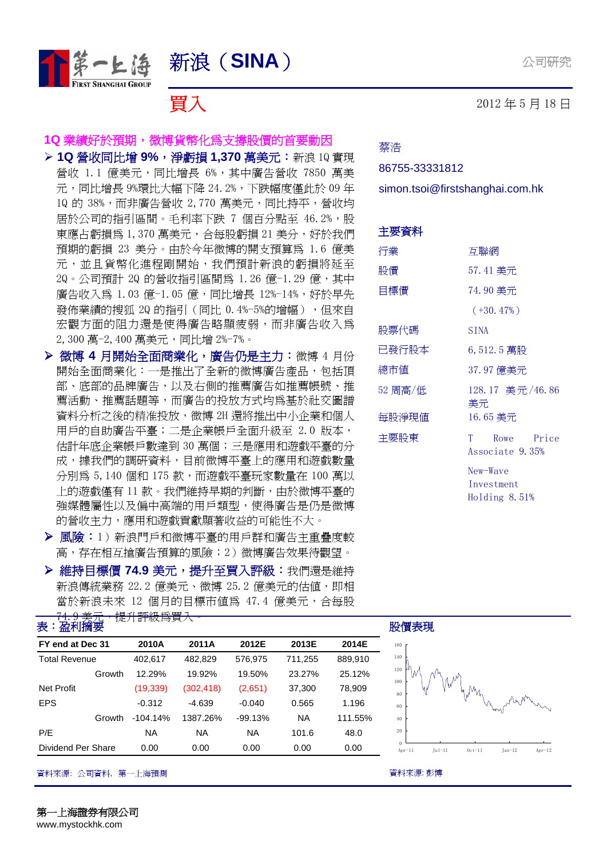

#### **1Q** 業績好於預期,微博貨幣化為支撐股價的首要動因

- **▷ 1Q 營收同比增 9%,淨虧損 1,370 萬美元:**新浪 1Q 實現 營收 1.1 億美元,同比增長 6%,其中廣告營收 7850 萬美 元,同比增長 9%環比大幅下降 24.2%,下跌幅度僅此於 09 年 10 的 38%,而非廣告營收 2,770 萬美元,同比持平,營收均 居於公司的指引區間。毛利率下跌 7 個百分點至 46.2%,股 東應占虧損爲 1,370 萬美元,合每股虧損 21 美分,好於我們 預期的虧損 23 美分。由於今年微博的開支預算為 1.6 億美 元,並且貨幣化進程剛開始,我們預計新浪的虧損將延至 2Q。公司預計 2Q 的營收指引區間為 1.26 億-1.29 億,其中 廣告收入爲 1.03 億-1.05 億,同比增長 12%-14%,好於早先 發佈業績的搜狐 2Q 的指引(同比 0.4%-5%的增幅),但來自 宏觀方面的阻力還是使得廣告略顯疲弱,而非廣告收入為 2,300 萬-2,400 萬美元,同比增 2%-7%。
- **> 微博 4 月開始全面商業化,廣告仍是主力:**微博 4 月份 開始全面商業化:一是推出了全新的微博廣告產品,包括頂 部、底部的品牌廣告,以及右側的推薦廣告如推薦帳號、推 薦活動、推薦話題等,而廣告的投放方式均為基於社交圖譜 資料分析之後的精准投放,微博 2H 還將推出中小企業和個人 用戶的自助廣告平臺;二是企業帳戶全面升級至 2.0 版本, 估計年底企業帳戶數達到 30 萬個;三是應用和遊戲平臺的分 成,據我們的調研資料,目前微博平臺上的應用和遊戲數量 分別為 5,140 個和 175 款,而遊戲平臺玩家數量在 100 萬以 上的遊戲僅有11款。我們維持早期的判斷,由於微博平臺的 強媒體屬性以及偏中高端的用戶類型,使得廣告是仍是微博 的營收主力,應用和遊戲貢獻顯著收益的可能性不大。
- ▶ 風險:1) 新浪門戶和微博平臺的用戶群和廣告主重疊度較 高,存在相互搶廣告預算的風險;2)微博廣告效果待觀望。
- **➢ 維持目標價 74.9 美元,提升至買入評級:**我們還是維持 新浪傳統業務 22.2 億美元、微博 25.2 億美元的估值, 即相 當於新浪未來 12 個月的目標市值為 47.4 億美元,合每股

| FY end at Dec 31     | 2010A      | 2011A      | 2012E     | 2013E     | 2014E   |  |
|----------------------|------------|------------|-----------|-----------|---------|--|
| <b>Total Revenue</b> | 402,617    | 482,829    | 576,975   | 711,255   | 889,910 |  |
| Growth               | 12.29%     | 19.92%     | 19.50%    | 23.27%    | 25.12%  |  |
| <b>Net Profit</b>    | (19, 339)  | (302, 418) | (2,651)   | 37,300    | 78,909  |  |
| <b>EPS</b>           | $-0.312$   | $-4.639$   | $-0.040$  | 0.565     | 1.196   |  |
| Growth               | $-104.14%$ | 1387.26%   | $-99.13%$ | <b>NA</b> | 111.55% |  |
| P/E                  | NA.        | NA.        | <b>NA</b> | 101.6     | 48.0    |  |
| Dividend Per Share   | 0.00       | 0.00       | 0.00      | 0.00      | 0.00    |  |

資料來源: 公司資料,第一上海預測 うちょう しょうしん しょうしん こうしん しゅうかん うらく 資料來源: 彭博

## **冒入 2012年5月18日**

蔡浩

#### 86755-33331812

simon.tsoi@firstshanghai.com.hk

| 主要資料    |                                           |
|---------|-------------------------------------------|
| 行業      | 互聯網                                       |
| 股價      | 57.41 美元                                  |
| 目標價     | 74.90 美元                                  |
|         | $(+30.47%)$                               |
| 股票代碼    | <b>SINA</b>                               |
| 已發行股本   | 6,512.5 萬股                                |
| 總市値     | 37.97 億美元                                 |
| 52 周高/低 | 128.17 美元/46.86<br>美元                     |
| 每股淨現値   | 16.65 美元                                  |
| 主要股東    | Rowe Price<br>$T \sim$<br>Associate 9.35% |
|         | New-Wave                                  |

Investment Holding 8.51%



股價表現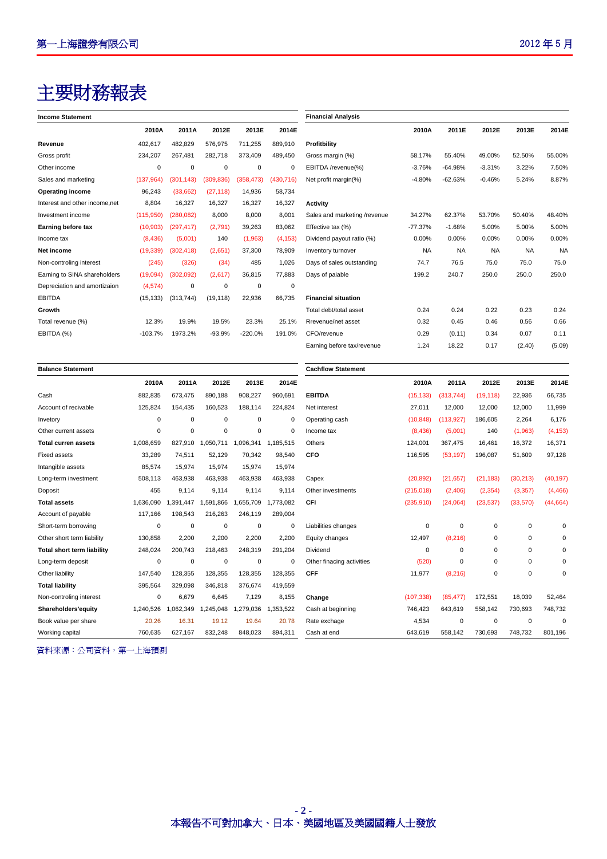# 主要財務報表

| <b>Income Statement</b>           |             |             |                     |             |             | <b>Financial Analysis</b>    |             |             |             |             |             |
|-----------------------------------|-------------|-------------|---------------------|-------------|-------------|------------------------------|-------------|-------------|-------------|-------------|-------------|
|                                   |             |             |                     |             |             |                              |             |             |             |             |             |
|                                   | 2010A       | 2011A       | 2012E               | 2013E       | 2014E       |                              | 2010A       | 2011E       | 2012E       | 2013E       | 2014E       |
| Revenue                           | 402,617     | 482,829     | 576,975             | 711,255     | 889,910     | Profitbility                 |             |             |             |             |             |
| Gross profit                      | 234,207     | 267,481     | 282,718             | 373,409     | 489,450     | Gross margin (%)             | 58.17%      | 55.40%      | 49.00%      | 52.50%      | 55.00%      |
| Other income                      | 0           | $\mathbf 0$ | $\mathbf 0$         | $\mathbf 0$ | $\mathbf 0$ | EBITDA /revenue(%)           | $-3.76%$    | $-64.98%$   | $-3.31%$    | 3.22%       | 7.50%       |
| Sales and marketing               | (137, 964)  | (301, 143)  | (309, 836)          | (358, 473)  | (430, 716)  | Net profit margin(%)         | $-4.80%$    | $-62.63%$   | $-0.46%$    | 5.24%       | 8.87%       |
| <b>Operating income</b>           | 96,243      | (33,662)    | (27, 118)           | 14,936      | 58,734      |                              |             |             |             |             |             |
| Interest and other income, net    | 8,804       | 16,327      | 16,327              | 16,327      | 16,327      | <b>Activity</b>              |             |             |             |             |             |
| Investment income                 | (115,950)   | (280, 082)  | 8,000               | 8,000       | 8,001       | Sales and marketing /revenue | 34.27%      | 62.37%      | 53.70%      | 50.40%      | 48.40%      |
| Earning before tax                | (10,903)    | (297, 417)  | (2,791)             | 39,263      | 83,062      | Effective tax (%)            | -77.37%     | $-1.68%$    | 5.00%       | 5.00%       | 5.00%       |
| Income tax                        | (8, 436)    | (5,001)     | 140                 | (1,963)     | (4, 153)    | Dividend payout ratio (%)    | 0.00%       | 0.00%       | 0.00%       | 0.00%       | 0.00%       |
| Net income                        | (19, 339)   | (302, 418)  | (2,651)             | 37,300      | 78,909      | Inventory turnover           | <b>NA</b>   | <b>NA</b>   | <b>NA</b>   | <b>NA</b>   | $N_f$       |
| Non-controling interest           | (245)       | (326)       | (34)                | 485         | 1,026       | Days of sales outstanding    | 74.7        | 76.5        | 75.0        | 75.0        | 75.0        |
| Earning to SINA shareholders      | (19,094)    | (302,092)   | (2,617)             | 36,815      | 77,883      | Days of paiable              | 199.2       | 240.7       | 250.0       | 250.0       | 250.0       |
| Depreciation and amortizaion      | (4, 574)    | $\mathbf 0$ | $\mathbf 0$         | $\mathbf 0$ | $\mathbf 0$ |                              |             |             |             |             |             |
| <b>EBITDA</b>                     | (15, 133)   | (313, 744)  | (19, 118)           | 22,936      | 66,735      | <b>Financial situation</b>   |             |             |             |             |             |
| Growth                            |             |             |                     |             |             | Total debt/total asset       | 0.24        | 0.24        | 0.22        | 0.23        | 0.24        |
| Total revenue (%)                 | 12.3%       | 19.9%       | 19.5%               | 23.3%       | 25.1%       | Rrevenue/net asset           | 0.32        | 0.45        | 0.46        | 0.56        | 0.66        |
| EBITDA (%)                        | $-103.7%$   | 1973.2%     | $-93.9%$            | $-220.0%$   | 191.0%      | CFO/revenue                  | 0.29        | (0.11)      | 0.34        | 0.07        | 0.11        |
|                                   |             |             |                     |             |             | Earning before tax/revenue   | 1.24        | 18.22       | 0.17        | (2.40)      | (5.09)      |
| <b>Balance Statement</b>          |             |             |                     |             |             | <b>Cachflow Statement</b>    |             |             |             |             |             |
|                                   | 2010A       | 2011A       | 2012E               | 2013E       | 2014E       |                              | 2010A       | 2011A       | 2012E       | 2013E       | 2014F       |
| Cash                              | 882,835     | 673,475     | 890,188             | 908,227     | 960,691     | <b>EBITDA</b>                | (15, 133)   | (313, 744)  | (19, 118)   | 22,936      | 66,735      |
| Account of recivable              | 125,824     | 154,435     | 160,523             | 188,114     | 224,824     | Net interest                 | 27,011      | 12,000      | 12,000      | 12,000      | 11,999      |
| Invetory                          | 0           | $\mathsf 0$ | $\mathbf 0$         | 0           | 0           | Operating cash               | (10, 848)   | (113, 927)  | 186,605     | 2,264       | 6,176       |
| Other current assets              | 0           | $\pmb{0}$   | $\mathbf 0$         | $\mathbf 0$ | $\mathbf 0$ | Income tax                   | (8, 436)    | (5,001)     | 140         | (1,963)     | (4, 153)    |
| <b>Total curren assets</b>        | 1,008,659   | 827,910     | 1,050,711 1,096,341 |             | 1,185,515   | Others                       | 124,001     | 367,475     | 16,461      | 16,372      | 16,371      |
| <b>Fixed assets</b>               | 33,289      | 74,511      | 52,129              | 70,342      | 98,540      | <b>CFO</b>                   | 116,595     | (53, 197)   | 196,087     | 51,609      | 97,128      |
| Intangible assets                 | 85,574      | 15,974      | 15,974              | 15,974      | 15,974      |                              |             |             |             |             |             |
| Long-term investment              | 508,113     | 463,938     | 463,938             | 463,938     | 463,938     | Capex                        | (20, 892)   | (21, 657)   | (21, 183)   | (30, 213)   | (40, 197)   |
| Doposit                           | 455         | 9,114       | 9,114               | 9,114       | 9,114       | Other investments            | (215, 018)  | (2,406)     | (2, 354)    | (3, 357)    | (4, 466)    |
| <b>Total assets</b>               | 1,636,090   | 1,391,447   | 1,591,866           | 1,655,709   | 1,773,082   | CFI                          | (235, 910)  | (24,064)    | (23, 537)   | (33,570)    | (44, 664)   |
| Account of payable                | 117,166     | 198,543     | 216,263             | 246,119     | 289,004     |                              |             |             |             |             |             |
| Short-term borrowing              | $\mathbf 0$ | $\mathbf 0$ | $\mathbf 0$         | $\mathbf 0$ | $\mathbf 0$ | Liabilities changes          | $\mathbf 0$ | $\mathbf 0$ | $\mathbf 0$ | $\mathbf 0$ | $\mathbf 0$ |
| Other short term liability        | 130,858     | 2,200       | 2,200               | 2,200       | 2,200       | Equity changes               | 12,497      | (8, 216)    | $\mathbf 0$ | 0           | $\mathbf 0$ |
| <b>Total short term liability</b> | 248,024     | 200,743     | 218,463             | 248,319     | 291,204     | Dividend                     | $\mathbf 0$ | 0           | 0           | 0           | 0           |
| Long-term deposit                 | 0           | 0           | $\mathbf 0$         | 0           | $\mathbf 0$ | Other finacing activities    | (520)       | 0           | 0           | $\Omega$    | $\mathbf 0$ |
| Other liability                   | 147.540     | 128.355     | 128.355             | 128.355     | 128,355     | <b>CFF</b>                   | 11,977      | (8, 216)    | $\Omega$    | $\Omega$    | $\Omega$    |

|                               | 2010A       | 2011A       | 2012E       | 2013E       | 2014E       |                              | 2010A       | 2011E       | 2012E       | 2013E       | 2014E       |
|-------------------------------|-------------|-------------|-------------|-------------|-------------|------------------------------|-------------|-------------|-------------|-------------|-------------|
| Revenue                       | 402,617     | 482,829     | 576,975     | 711,255     | 889,910     | Profitbility                 |             |             |             |             |             |
| Gross profit                  | 234,207     | 267,481     | 282,718     | 373,409     | 489,450     | Gross margin (%)             | 58.17%      | 55.40%      | 49.00%      | 52.50%      | 55.00%      |
| Other income                  | $\mathbf 0$ | $\mathbf 0$ | $\mathbf 0$ | $\mathbf 0$ | $\mathbf 0$ | EBITDA /revenue(%)           | $-3.76%$    | $-64.98%$   | $-3.31%$    | 3.22%       | 7.50%       |
| Sales and marketing           | (137, 964)  | (301, 143)  | (309, 836)  | (358, 473)  | (430, 716)  | Net profit margin(%)         | $-4.80%$    | $-62.63%$   | $-0.46%$    | 5.24%       | 8.87%       |
| <b>Operating income</b>       | 96,243      | (33,662)    | (27, 118)   | 14,936      | 58,734      |                              |             |             |             |             |             |
| Interest and other income,net | 8,804       | 16,327      | 16,327      | 16,327      | 16,327      | <b>Activity</b>              |             |             |             |             |             |
| Investment income             | (115, 950)  | (280, 082)  | 8,000       | 8,000       | 8,001       | Sales and marketing /revenue | 34.27%      | 62.37%      | 53.70%      | 50.40%      | 48.40%      |
| Earning before tax            | (10,903)    | (297, 417)  | (2,791)     | 39,263      | 83,062      | Effective tax (%)            | $-77.37%$   | $-1.68%$    | 5.00%       | 5.00%       | 5.00%       |
| Income tax                    | (8, 436)    | (5,001)     | 140         | (1,963)     | (4, 153)    | Dividend payout ratio (%)    | 0.00%       | 0.00%       | 0.00%       | 0.00%       | 0.00%       |
| Net income                    | (19, 339)   | (302, 418)  | (2,651)     | 37,300      | 78,909      | Inventory turnover           | <b>NA</b>   | <b>NA</b>   | <b>NA</b>   | <b>NA</b>   | <b>NA</b>   |
| Non-controling interest       | (245)       | (326)       | (34)        | 485         | 1,026       | Days of sales outstanding    | 74.7        | 76.5        | 75.0        | 75.0        | 75.0        |
| Earning to SINA shareholders  | (19,094)    | (302,092)   | (2,617)     | 36,815      | 77,883      | Days of paiable              | 199.2       | 240.7       | 250.0       | 250.0       | 250.0       |
| Depreciation and amortizaion  | (4, 574)    | $\mathbf 0$ | $\pmb{0}$   | $\pmb{0}$   | $\mathbf 0$ |                              |             |             |             |             |             |
| <b>EBITDA</b>                 | (15, 133)   | (313, 744)  | (19, 118)   | 22,936      | 66,735      | <b>Financial situation</b>   |             |             |             |             |             |
| Growth                        |             |             |             |             |             | Total debt/total asset       | 0.24        | 0.24        | 0.22        | 0.23        | 0.24        |
| Total revenue (%)             | 12.3%       | 19.9%       | 19.5%       | 23.3%       | 25.1%       | Rrevenue/net asset           | 0.32        | 0.45        | 0.46        | 0.56        | 0.66        |
| EBITDA (%)                    | $-103.7%$   | 1973.2%     | $-93.9%$    | $-220.0%$   | 191.0%      | CFO/revenue                  | 0.29        | (0.11)      | 0.34        | 0.07        | 0.11        |
|                               |             |             |             |             |             | Earning before tax/revenue   | 1.24        | 18.22       | 0.17        | (2.40)      | (5.09)      |
|                               |             |             |             |             |             |                              |             |             |             |             |             |
| <b>Balance Statement</b>      |             |             |             |             |             | <b>Cachflow Statement</b>    |             |             |             |             |             |
|                               | 2010A       | 2011A       | 2012E       | 2013E       | 2014E       |                              | 2010A       | 2011A       | 2012E       | 2013E       | 2014E       |
| Cash                          | 882,835     | 673,475     | 890,188     | 908,227     | 960,691     | <b>EBITDA</b>                | (15, 133)   | (313, 744)  | (19, 118)   | 22,936      | 66,735      |
| Account of recivable          | 125,824     | 154,435     | 160,523     | 188,114     | 224,824     | Net interest                 | 27,011      | 12,000      | 12,000      | 12,000      | 11,999      |
| Invetory                      | 0           | $\mathbf 0$ | $\mathbf 0$ | $\mathbf 0$ | $\mathbf 0$ | Operating cash               | (10, 848)   | (113, 927)  | 186,605     | 2,264       | 6,176       |
| Other current assets          | $\mathbf 0$ | $\mathbf 0$ | $\pmb{0}$   | $\mathbf 0$ | $\mathbf 0$ | Income tax                   | (8,436)     | (5,001)     | 140         | (1,963)     | (4, 153)    |
| <b>Total curren assets</b>    | 1,008,659   | 827,910     | 1,050,711   | 1,096,341   | 1,185,515   | Others                       | 124,001     | 367,475     | 16,461      | 16,372      | 16,371      |
| <b>Fixed assets</b>           | 33,289      | 74,511      | 52,129      | 70,342      | 98,540      | <b>CFO</b>                   | 116,595     | (53, 197)   | 196,087     | 51,609      | 97,128      |
| Intangible assets             | 85,574      | 15,974      | 15,974      | 15,974      | 15,974      |                              |             |             |             |             |             |
| Long-term investment          | 508,113     | 463,938     | 463,938     | 463,938     | 463,938     | Capex                        | (20, 892)   | (21, 657)   | (21, 183)   | (30, 213)   | (40, 197)   |
| Doposit                       | 455         | 9,114       | 9,114       | 9,114       | 9,114       | Other investments            | (215, 018)  | (2, 406)    | (2, 354)    | (3, 357)    | (4, 466)    |
| <b>Total assets</b>           | 1,636,090   | 1,391,447   | 1,591,866   | 1,655,709   | 1,773,082   | CFI                          | (235, 910)  | (24,064)    | (23, 537)   | (33, 570)   | (44, 664)   |
| Account of payable            | 117,166     | 198,543     | 216,263     | 246,119     | 289,004     |                              |             |             |             |             |             |
| Short-term borrowing          | 0           | $\mathbf 0$ | $\mathbf 0$ | $\mathbf 0$ | $\mathbf 0$ | Liabilities changes          | $\mathbf 0$ | $\mathbf 0$ | $\mathbf 0$ | 0           | $\mathbf 0$ |
| Other short term liability    | 130,858     | 2,200       | 2,200       | 2,200       | 2,200       | Equity changes               | 12,497      | (8, 216)    | $\mathbf 0$ | 0           | $\mathbf 0$ |
| Total short term liability    | 248,024     | 200,743     | 218,463     | 248,319     | 291,204     | Dividend                     | $\mathbf 0$ | $\mathbf 0$ | $\mathbf 0$ | 0           | $\mathbf 0$ |
| Long-term deposit             | 0           | 0           | $\mathbf 0$ | $\mathbf 0$ | $\Omega$    | Other finacing activities    | (520)       | $\mathbf 0$ | $\mathbf 0$ | 0           | 0           |
| Other liability               | 147,540     | 128,355     | 128,355     | 128,355     | 128,355     | <b>CFF</b>                   | 11,977      | (8, 216)    | $\mathbf 0$ | $\mathbf 0$ | $\Omega$    |
| <b>Total liability</b>        | 395,564     | 329,098     | 346,818     | 376,674     | 419,559     |                              |             |             |             |             |             |
| Non-controling interest       | $\mathbf 0$ | 6,679       | 6,645       | 7,129       | 8,155       | Change                       | (107, 338)  | (85, 477)   | 172,551     | 18,039      | 52.464      |
| Shareholders'equity           | 1,240,526   | 1,062,349   | 1,245,048   | 1,279,036   | 1,353,522   | Cash at beginning            | 746,423     | 643,619     | 558,142     | 730,693     | 748,732     |
| Book value per share          | 20.26       | 16.31       | 19.12       | 19.64       | 20.78       | Rate exchage                 | 4,534       | 0           | $\mathbf 0$ | $\mathbf 0$ | $\mathbf 0$ |
| Working capital               | 760,635     | 627,167     | 832,248     | 848,023     | 894,311     | Cash at end                  | 643,619     | 558,142     | 730,693     | 748,732     | 801,196     |

資料來源:公司資料,第一上海預測